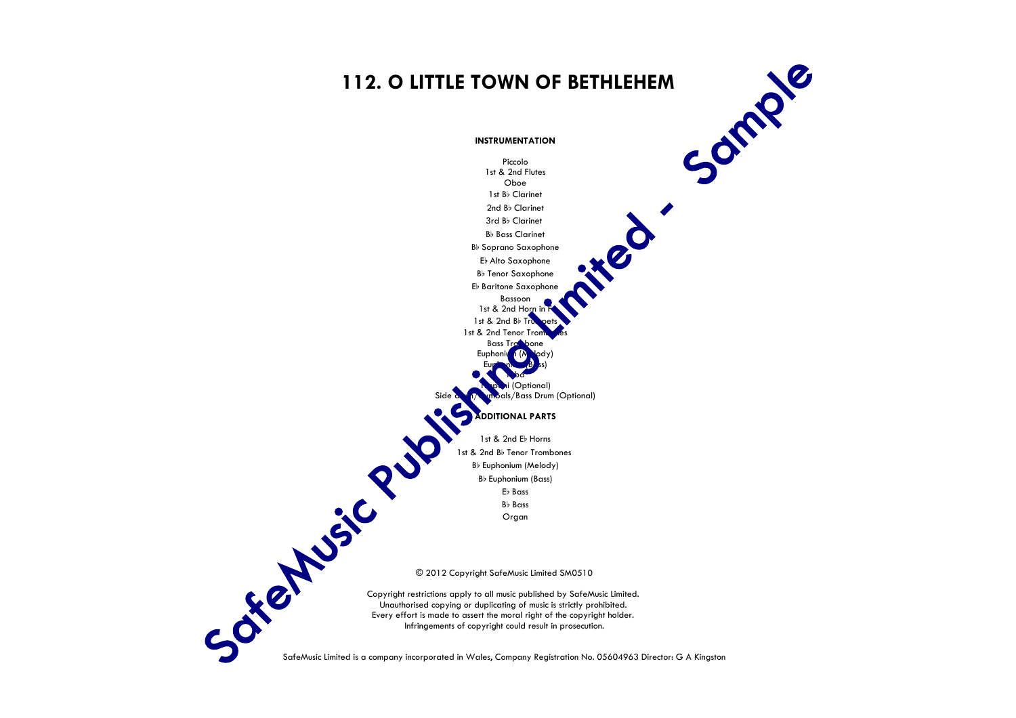